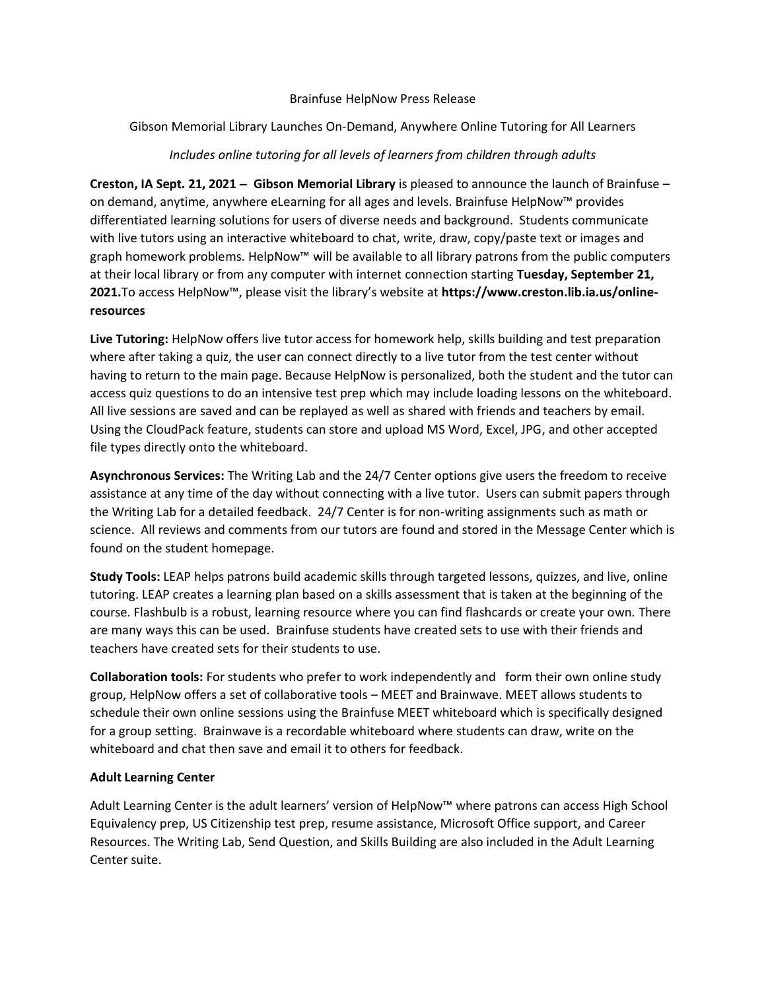#### Brainfuse HelpNow Press Release

## Gibson Memorial Library Launches On-Demand, Anywhere Online Tutoring for All Learners

## *Includes online tutoring for all levels of learners from children through adults*

**Creston, IA Sept. 21, 2021** − **Gibson Memorial Library** is pleased to announce the launch of Brainfuse – on demand, anytime, anywhere eLearning for all ages and levels. Brainfuse HelpNow™ provides differentiated learning solutions for users of diverse needs and background. Students communicate with live tutors using an interactive whiteboard to chat, write, draw, copy/paste text or images and graph homework problems. HelpNow™ will be available to all library patrons from the public computers at their local library or from any computer with internet connection starting **Tuesday, September 21, 2021.**To access HelpNow™, please visit the library's website at **https://www.creston.lib.ia.us/onlineresources**

**Live Tutoring:** HelpNow offers live tutor access for homework help, skills building and test preparation where after taking a quiz, the user can connect directly to a live tutor from the test center without having to return to the main page. Because HelpNow is personalized, both the student and the tutor can access quiz questions to do an intensive test prep which may include loading lessons on the whiteboard. All live sessions are saved and can be replayed as well as shared with friends and teachers by email. Using the CloudPack feature, students can store and upload MS Word, Excel, JPG, and other accepted file types directly onto the whiteboard.

**Asynchronous Services:** The Writing Lab and the 24/7 Center options give users the freedom to receive assistance at any time of the day without connecting with a live tutor. Users can submit papers through the Writing Lab for a detailed feedback. 24/7 Center is for non-writing assignments such as math or science. All reviews and comments from our tutors are found and stored in the Message Center which is found on the student homepage.

**Study Tools:** LEAP helps patrons build academic skills through targeted lessons, quizzes, and live, online tutoring. LEAP creates a learning plan based on a skills assessment that is taken at the beginning of the course. Flashbulb is a robust, learning resource where you can find flashcards or create your own. There are many ways this can be used. Brainfuse students have created sets to use with their friends and teachers have created sets for their students to use.

**Collaboration tools:** For students who prefer to work independently and form their own online study group, HelpNow offers a set of collaborative tools – MEET and Brainwave. MEET allows students to schedule their own online sessions using the Brainfuse MEET whiteboard which is specifically designed for a group setting. Brainwave is a recordable whiteboard where students can draw, write on the whiteboard and chat then save and email it to others for feedback.

# **Adult Learning Center**

Adult Learning Center is the adult learners' version of HelpNow™ where patrons can access High School Equivalency prep, US Citizenship test prep, resume assistance, Microsoft Office support, and Career Resources. The Writing Lab, Send Question, and Skills Building are also included in the Adult Learning Center suite.